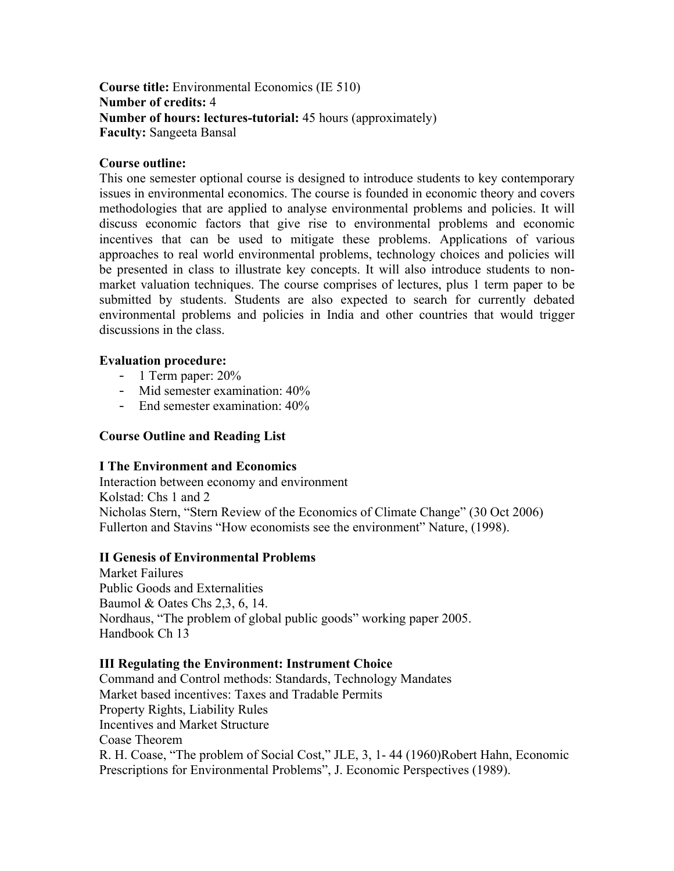## **Course title:** Environmental Economics (IE 510) **Number of credits:** 4 **Number of hours: lectures-tutorial:** 45 hours (approximately) **Faculty:** Sangeeta Bansal

## **Course outline:**

This one semester optional course is designed to introduce students to key contemporary issues in environmental economics. The course is founded in economic theory and covers methodologies that are applied to analyse environmental problems and policies. It will discuss economic factors that give rise to environmental problems and economic incentives that can be used to mitigate these problems. Applications of various approaches to real world environmental problems, technology choices and policies will be presented in class to illustrate key concepts. It will also introduce students to nonmarket valuation techniques. The course comprises of lectures, plus 1 term paper to be submitted by students. Students are also expected to search for currently debated environmental problems and policies in India and other countries that would trigger discussions in the class.

## **Evaluation procedure:**

- 1 Term paper: 20%
- Mid semester examination: 40%
- End semester examination: 40%

# **Course Outline and Reading List**

## **I The Environment and Economics**

Interaction between economy and environment Kolstad: Chs 1 and 2 Nicholas Stern, "Stern Review of the Economics of Climate Change" (30 Oct 2006) Fullerton and Stavins "How economists see the environment" Nature, (1998).

## **II Genesis of Environmental Problems**

Market Failures Public Goods and Externalities Baumol & Oates Chs 2,3, 6, 14. Nordhaus, "The problem of global public goods" working paper 2005. Handbook Ch 13

## **III Regulating the Environment: Instrument Choice**

Command and Control methods: Standards, Technology Mandates Market based incentives: Taxes and Tradable Permits Property Rights, Liability Rules Incentives and Market Structure Coase Theorem R. H. Coase, "The problem of Social Cost," JLE, 3, 1- 44 (1960)Robert Hahn, Economic Prescriptions for Environmental Problems", J. Economic Perspectives (1989).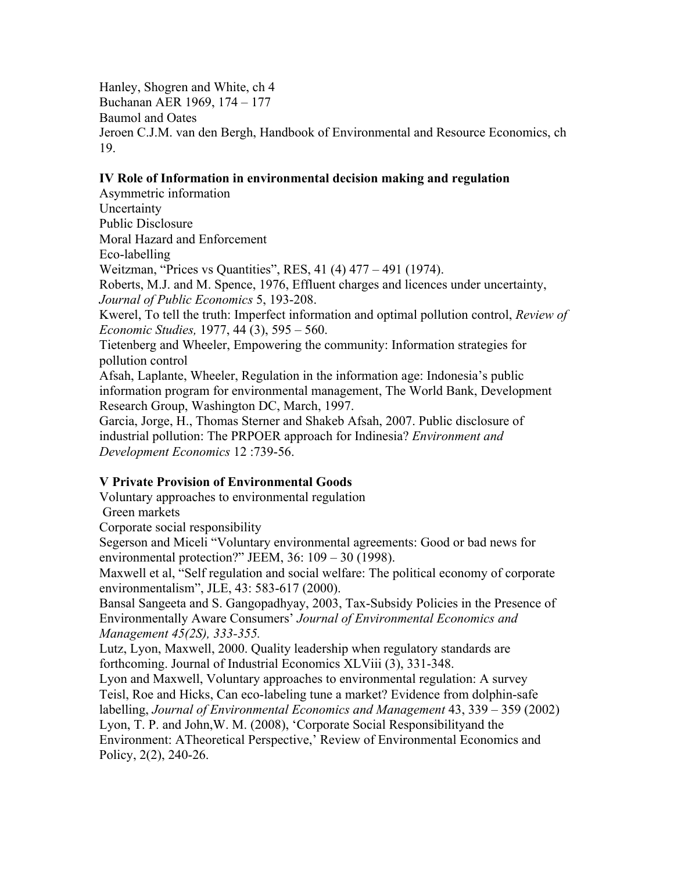Hanley, Shogren and White, ch 4 Buchanan AER 1969, 174 – 177 Baumol and Oates Jeroen C.J.M. van den Bergh, Handbook of Environmental and Resource Economics, ch 19.

#### **IV Role of Information in environmental decision making and regulation**

Asymmetric information Uncertainty Public Disclosure Moral Hazard and Enforcement Eco-labelling Weitzman, "Prices vs Quantities", RES, 41 (4) 477 – 491 (1974). Roberts, M.J. and M. Spence, 1976, Effluent charges and licences under uncertainty, *Journal of Public Economics* 5, 193-208. Kwerel, To tell the truth: Imperfect information and optimal pollution control, *Review of Economic Studies,* 1977, 44 (3), 595 – 560. Tietenberg and Wheeler, Empowering the community: Information strategies for pollution control Afsah, Laplante, Wheeler, Regulation in the information age: Indonesia's public information program for environmental management, The World Bank, Development Research Group, Washington DC, March, 1997. Garcia, Jorge, H., Thomas Sterner and Shakeb Afsah, 2007. Public disclosure of industrial pollution: The PRPOER approach for Indinesia? *Environment and* 

*Development Economics* 12 :739-56.

## **V Private Provision of Environmental Goods**

Voluntary approaches to environmental regulation

Green markets

Corporate social responsibility

Segerson and Miceli "Voluntary environmental agreements: Good or bad news for environmental protection?" JEEM, 36: 109 – 30 (1998).

Maxwell et al, "Self regulation and social welfare: The political economy of corporate environmentalism", JLE, 43: 583-617 (2000).

Bansal Sangeeta and S. Gangopadhyay, 2003, Tax-Subsidy Policies in the Presence of Environmentally Aware Consumers' *Journal of Environmental Economics and Management 45(2S), 333-355.*

Lutz, Lyon, Maxwell, 2000. Quality leadership when regulatory standards are forthcoming. Journal of Industrial Economics XLViii (3), 331-348.

Lyon and Maxwell, Voluntary approaches to environmental regulation: A survey Teisl, Roe and Hicks, Can eco-labeling tune a market? Evidence from dolphin-safe labelling, *Journal of Environmental Economics and Management* 43, 339 – 359 (2002) Lyon, T. P. and John,W. M. (2008), 'Corporate Social Responsibilityand the

Environment: ATheoretical Perspective,' Review of Environmental Economics and Policy, 2(2), 240-26.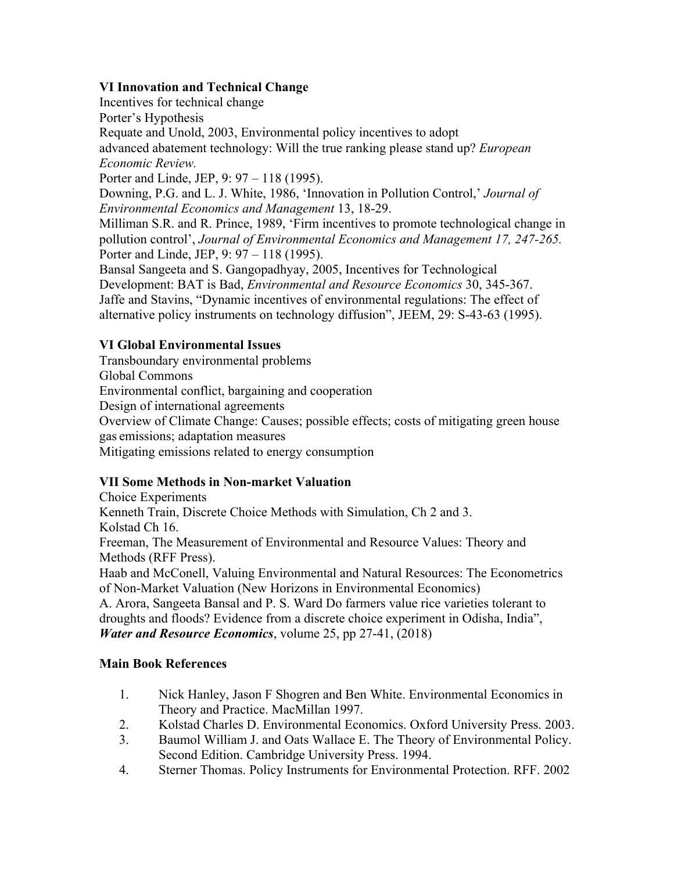# **VI Innovation and Technical Change**

Incentives for technical change Porter's Hypothesis Requate and Unold, 2003, Environmental policy incentives to adopt advanced abatement technology: Will the true ranking please stand up? *European Economic Review.* Porter and Linde, JEP, 9: 97 – 118 (1995). Downing, P.G. and L. J. White, 1986, 'Innovation in Pollution Control,' *Journal of Environmental Economics and Management* 13, 18-29.

Milliman S.R. and R. Prince, 1989, 'Firm incentives to promote technological change in pollution control', *Journal of Environmental Economics and Management 17, 247-265.* Porter and Linde, JEP, 9: 97 – 118 (1995).

Bansal Sangeeta and S. Gangopadhyay, 2005, Incentives for Technological Development: BAT is Bad, *Environmental and Resource Economics* 30, 345-367. Jaffe and Stavins, "Dynamic incentives of environmental regulations: The effect of alternative policy instruments on technology diffusion", JEEM, 29: S-43-63 (1995).

# **VI Global Environmental Issues**

Transboundary environmental problems Global Commons Environmental conflict, bargaining and cooperation Design of international agreements Overview of Climate Change: Causes; possible effects; costs of mitigating green house gas emissions; adaptation measures Mitigating emissions related to energy consumption

# **VII Some Methods in Non-market Valuation**

Choice Experiments Kenneth Train, Discrete Choice Methods with Simulation, Ch 2 and 3. Kolstad Ch 16. Freeman, The Measurement of Environmental and Resource Values: Theory and Methods (RFF Press). Haab and McConell, Valuing Environmental and Natural Resources: The Econometrics of Non-Market Valuation (New Horizons in Environmental Economics) A. Arora, Sangeeta Bansal and P. S. Ward Do farmers value rice varieties tolerant to droughts and floods? Evidence from a discrete choice experiment in Odisha, India",

*Water and Resource Economics*, volume 25, pp 27-41, (2018)

# **Main Book References**

- 1. Nick Hanley, Jason F Shogren and Ben White. Environmental Economics in Theory and Practice. MacMillan 1997.
- 2. Kolstad Charles D. Environmental Economics. Oxford University Press. 2003.
- 3. Baumol William J. and Oats Wallace E. The Theory of Environmental Policy. Second Edition. Cambridge University Press. 1994.
- 4. Sterner Thomas. Policy Instruments for Environmental Protection. RFF. 2002